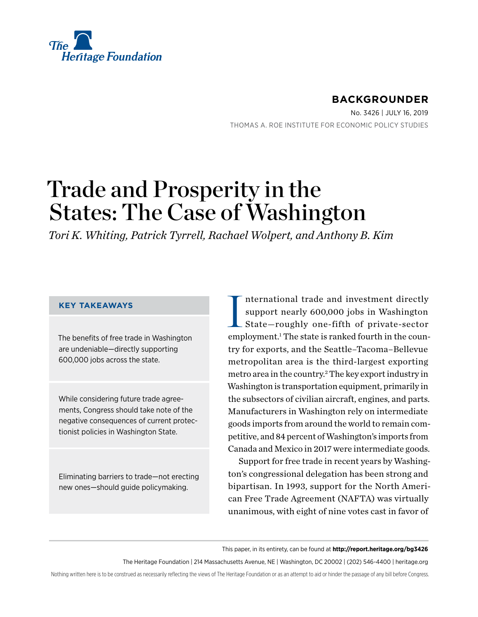

# **BACKGROUNDER**

No. 3426 | July 16, 2019 THOMAS A. ROE INSTITUTE FOR ECONOMIC POLICY STUDIES

# Trade and Prosperity in the States: The Case of Washington

*Tori K. Whiting, Patrick Tyrrell, Rachael Wolpert, and Anthony B. Kim*

### **KEY TAKEAWAYS**

The benefits of free trade in Washington are undeniable—directly supporting 600,000 jobs across the state.

While considering future trade agreements, Congress should take note of the negative consequences of current protectionist policies in Washington State.

Eliminating barriers to trade—not erecting new ones—should guide policymaking.

I nternational trade and investment directly support nearly 600,000 jobs in Washington State—roughly one-fifth of private-sector employment.<sup>1</sup> The state is ranked fourth in the country for exports, and the Seattle–Tacoma–Bellevue metropolitan area is the third-largest exporting metro area in the country.<sup>2</sup> The key export industry in Washington is transportation equipment, primarily in the subsectors of civilian aircraft, engines, and parts. Manufacturers in Washington rely on intermediate goods imports from around the world to remain competitive, and 84 percent of Washington's imports from Canada and Mexico in 2017 were intermediate goods.

Support for free trade in recent years by Washington's congressional delegation has been strong and bipartisan. In 1993, support for the North American Free Trade Agreement (NAFTA) was virtually unanimous, with eight of nine votes cast in favor of

This paper, in its entirety, can be found at **http://report.heritage.org/bg3426**

The Heritage Foundation | 214 Massachusetts Avenue, NE | Washington, DC 20002 | (202) 546-4400 | [heritage.org](http://www.heritage.org)

Nothing written here is to be construed as necessarily reflecting the views of The Heritage Foundation or as an attempt to aid or hinder the passage of any bill before Congress.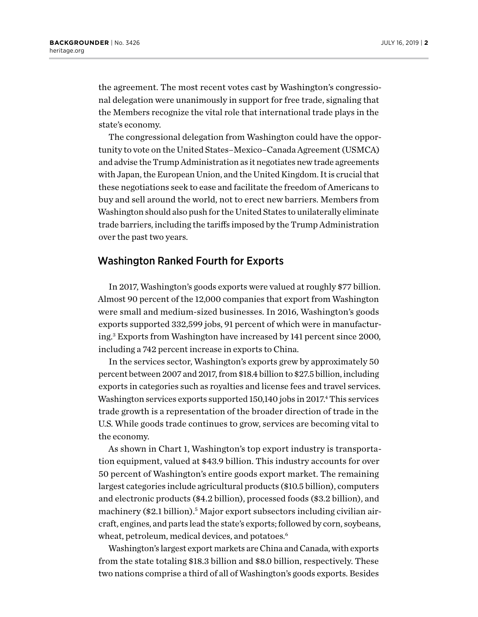the agreement. The most recent votes cast by Washington's congressional delegation were unanimously in support for free trade, signaling that the Members recognize the vital role that international trade plays in the state's economy.

The congressional delegation from Washington could have the opportunity to vote on the United States–Mexico–Canada Agreement (USMCA) and advise the Trump Administration as it negotiates new trade agreements with Japan, the European Union, and the United Kingdom. It is crucial that these negotiations seek to ease and facilitate the freedom of Americans to buy and sell around the world, not to erect new barriers. Members from Washington should also push for the United States to unilaterally eliminate trade barriers, including the tariffs imposed by the Trump Administration over the past two years.

## Washington Ranked Fourth for Exports

In 2017, Washington's goods exports were valued at roughly \$77 billion. Almost 90 percent of the 12,000 companies that export from Washington were small and medium-sized businesses. In 2016, Washington's goods exports supported 332,599 jobs, 91 percent of which were in manufacturing.3 Exports from Washington have increased by 141 percent since 2000, including a 742 percent increase in exports to China.

In the services sector, Washington's exports grew by approximately 50 percent between 2007 and 2017, from \$18.4 billion to \$27.5 billion, including exports in categories such as royalties and license fees and travel services. Washington services exports supported 150,140 jobs in 2017.<sup>4</sup> This services trade growth is a representation of the broader direction of trade in the U.S. While goods trade continues to grow, services are becoming vital to the economy.

As shown in Chart 1, Washington's top export industry is transportation equipment, valued at \$43.9 billion. This industry accounts for over 50 percent of Washington's entire goods export market. The remaining largest categories include agricultural products (\$10.5 billion), computers and electronic products (\$4.2 billion), processed foods (\$3.2 billion), and machinery (\$2.1 billion).<sup>5</sup> Major export subsectors including civilian aircraft, engines, and parts lead the state's exports; followed by corn, soybeans, wheat, petroleum, medical devices, and potatoes.<sup>6</sup>

Washington's largest export markets are China and Canada, with exports from the state totaling \$18.3 billion and \$8.0 billion, respectively. These two nations comprise a third of all of Washington's goods exports. Besides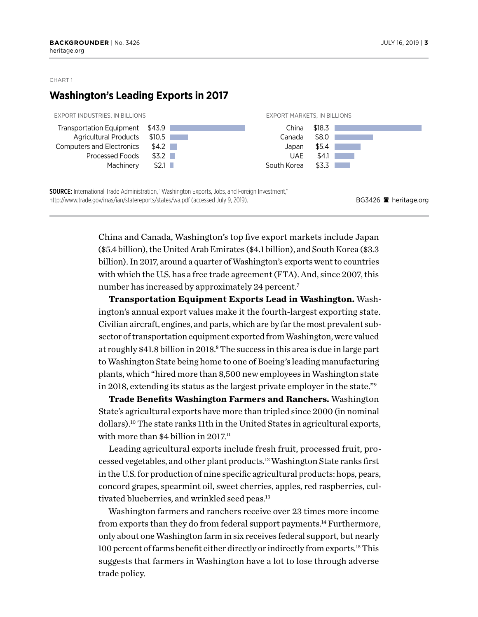## **Washington's Leading Exports in 2017**



China and Canada, Washington's top five export markets include Japan (\$5.4 billion), the United Arab Emirates (\$4.1 billion), and South Korea (\$3.3 billion). In 2017, around a quarter of Washington's exports went to countries with which the U.S. has a free trade agreement (FTA). And, since 2007, this number has increased by approximately 24 percent.<sup>7</sup>

**Transportation Equipment Exports Lead in Washington.** Washington's annual export values make it the fourth-largest exporting state. Civilian aircraft, engines, and parts, which are by far the most prevalent subsector of transportation equipment exported from Washington, were valued at roughly \$41.8 billion in 2018.<sup>8</sup> The success in this area is due in large part to Washington State being home to one of Boeing's leading manufacturing plants, which "hired more than 8,500 new employees in Washington state in 2018, extending its status as the largest private employer in the state."9

**Trade Benefits Washington Farmers and Ranchers.** Washington State's agricultural exports have more than tripled since 2000 (in nominal dollars).10 The state ranks 11th in the United States in agricultural exports, with more than \$4 billion in 2017.<sup>11</sup>

Leading agricultural exports include fresh fruit, processed fruit, processed vegetables, and other plant products.12 Washington State ranks first in the U.S. for production of nine specific agricultural products: hops, pears, concord grapes, spearmint oil, sweet cherries, apples, red raspberries, cultivated blueberries, and wrinkled seed peas.<sup>13</sup>

Washington farmers and ranchers receive over 23 times more income from exports than they do from federal support payments.<sup>14</sup> Furthermore, only about one Washington farm in six receives federal support, but nearly 100 percent of farms benefit either directly or indirectly from exports.15 This suggests that farmers in Washington have a lot to lose through adverse trade policy.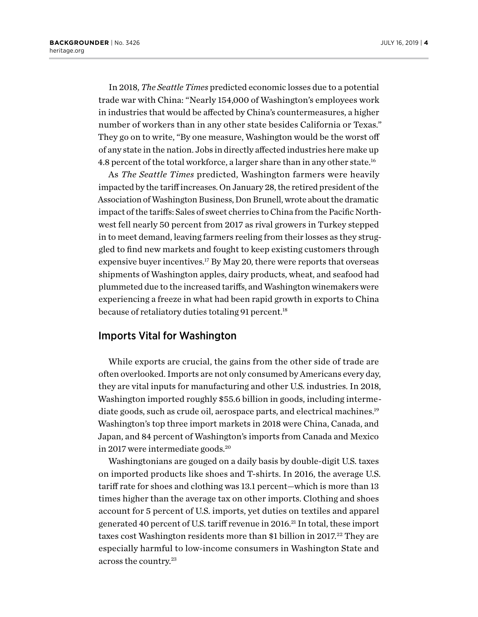In 2018, *The Seattle Times* predicted economic losses due to a potential trade war with China: "Nearly 154,000 of Washington's employees work in industries that would be affected by China's countermeasures, a higher number of workers than in any other state besides California or Texas." They go on to write, "By one measure, Washington would be the worst off of any state in the nation. Jobs in directly affected industries here make up 4.8 percent of the total workforce, a larger share than in any other state.16

As *The Seattle Times* predicted, Washington farmers were heavily impacted by the tariff increases. On January 28, the retired president of the Association of Washington Business, Don Brunell, wrote about the dramatic impact of the tariffs: Sales of sweet cherries to China from the Pacific Northwest fell nearly 50 percent from 2017 as rival growers in Turkey stepped in to meet demand, leaving farmers reeling from their losses as they struggled to find new markets and fought to keep existing customers through expensive buyer incentives.<sup>17</sup> By May 20, there were reports that overseas shipments of Washington apples, dairy products, wheat, and seafood had plummeted due to the increased tariffs, and Washington winemakers were experiencing a freeze in what had been rapid growth in exports to China because of retaliatory duties totaling 91 percent.<sup>18</sup>

## Imports Vital for Washington

While exports are crucial, the gains from the other side of trade are often overlooked. Imports are not only consumed by Americans every day, they are vital inputs for manufacturing and other U.S. industries. In 2018, Washington imported roughly \$55.6 billion in goods, including intermediate goods, such as crude oil, aerospace parts, and electrical machines.<sup>19</sup> Washington's top three import markets in 2018 were China, Canada, and Japan, and 84 percent of Washington's imports from Canada and Mexico in 2017 were intermediate goods.20

Washingtonians are gouged on a daily basis by double-digit U.S. taxes on imported products like shoes and T-shirts. In 2016, the average U.S. tariff rate for shoes and clothing was 13.1 percent—which is more than 13 times higher than the average tax on other imports. Clothing and shoes account for 5 percent of U.S. imports, yet duties on textiles and apparel generated 40 percent of U.S. tariff revenue in 2016.<sup>21</sup> In total, these import taxes cost Washington residents more than \$1 billion in 2017.<sup>22</sup> They are especially harmful to low-income consumers in Washington State and across the country.23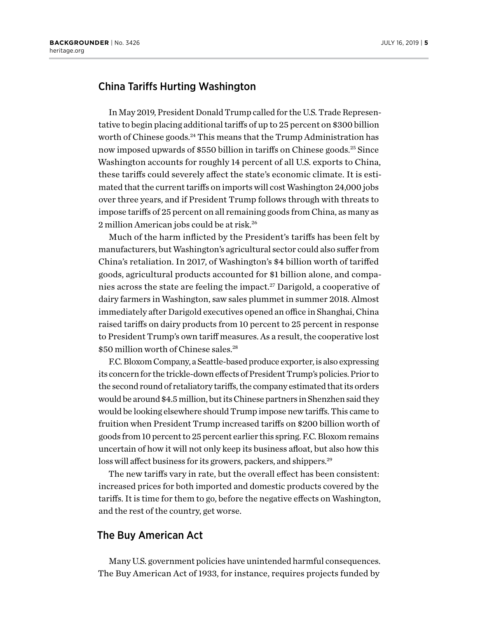## China Tariffs Hurting Washington

In May 2019, President Donald Trump called for the U.S. Trade Representative to begin placing additional tariffs of up to 25 percent on \$300 billion worth of Chinese goods.<sup>24</sup> This means that the Trump Administration has now imposed upwards of \$550 billion in tariffs on Chinese goods.<sup>25</sup> Since Washington accounts for roughly 14 percent of all U.S. exports to China, these tariffs could severely affect the state's economic climate. It is estimated that the current tariffs on imports will cost Washington 24,000 jobs over three years, and if President Trump follows through with threats to impose tariffs of 25 percent on all remaining goods from China, as many as 2 million American jobs could be at risk.<sup>26</sup>

Much of the harm inflicted by the President's tariffs has been felt by manufacturers, but Washington's agricultural sector could also suffer from China's retaliation. In 2017, of Washington's \$4 billion worth of tariffed goods, agricultural products accounted for \$1 billion alone, and companies across the state are feeling the impact.<sup>27</sup> Darigold, a cooperative of dairy farmers in Washington, saw sales plummet in summer 2018. Almost immediately after Darigold executives opened an office in Shanghai, China raised tariffs on dairy products from 10 percent to 25 percent in response to President Trump's own tariff measures. As a result, the cooperative lost \$50 million worth of Chinese sales.<sup>28</sup>

F.C. Bloxom Company, a Seattle-based produce exporter, is also expressing its concern for the trickle-down effects of President Trump's policies. Prior to the second round of retaliatory tariffs, the company estimated that its orders would be around \$4.5 million, but its Chinese partners in Shenzhen said they would be looking elsewhere should Trump impose new tariffs. This came to fruition when President Trump increased tariffs on \$200 billion worth of goods from 10 percent to 25 percent earlier this spring. F.C. Bloxom remains uncertain of how it will not only keep its business afloat, but also how this loss will affect business for its growers, packers, and shippers.29

The new tariffs vary in rate, but the overall effect has been consistent: increased prices for both imported and domestic products covered by the tariffs. It is time for them to go, before the negative effects on Washington, and the rest of the country, get worse.

## The Buy American Act

Many U.S. government policies have unintended harmful consequences. The Buy American Act of 1933, for instance, requires projects funded by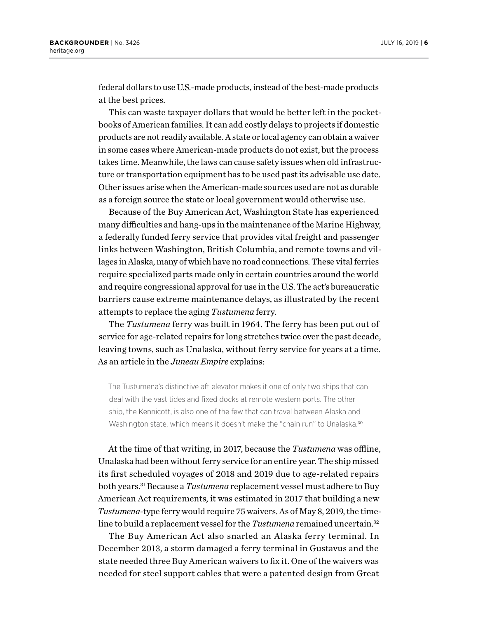federal dollars to use U.S.-made products, instead of the best-made products at the best prices.

This can waste taxpayer dollars that would be better left in the pocketbooks of American families. It can add costly delays to projects if domestic products are not readily available. A state or local agency can obtain a waiver in some cases where American-made products do not exist, but the process takes time. Meanwhile, the laws can cause safety issues when old infrastructure or transportation equipment has to be used past its advisable use date. Other issues arise when the American-made sources used are not as durable as a foreign source the state or local government would otherwise use.

Because of the Buy American Act, Washington State has experienced many difficulties and hang-ups in the maintenance of the Marine Highway, a federally funded ferry service that provides vital freight and passenger links between Washington, British Columbia, and remote towns and villages in Alaska, many of which have no road connections. These vital ferries require specialized parts made only in certain countries around the world and require congressional approval for use in the U.S. The act's bureaucratic barriers cause extreme maintenance delays, as illustrated by the recent attempts to replace the aging *Tustumena* ferry.

The *Tustumena* ferry was built in 1964. The ferry has been put out of service for age-related repairs for long stretches twice over the past decade, leaving towns, such as Unalaska, without ferry service for years at a time. As an article in the *Juneau Empire* explains:

The Tustumena's distinctive aft elevator makes it one of only two ships that can deal with the vast tides and fixed docks at remote western ports. The other ship, the Kennicott, is also one of the few that can travel between Alaska and Washington state, which means it doesn't make the "chain run" to Unalaska.<sup>30</sup>

At the time of that writing, in 2017, because the *Tustumena* was offline, Unalaska had been without ferry service for an entire year. The ship missed its first scheduled voyages of 2018 and 2019 due to age-related repairs both years.31 Because a *Tustumena* replacement vessel must adhere to Buy American Act requirements, it was estimated in 2017 that building a new *Tustumena-*type ferry would require 75 waivers. As of May 8, 2019, the timeline to build a replacement vessel for the *Tustumena* remained uncertain.<sup>32</sup>

The Buy American Act also snarled an Alaska ferry terminal. In December 2013, a storm damaged a ferry terminal in Gustavus and the state needed three Buy American waivers to fix it. One of the waivers was needed for steel support cables that were a patented design from Great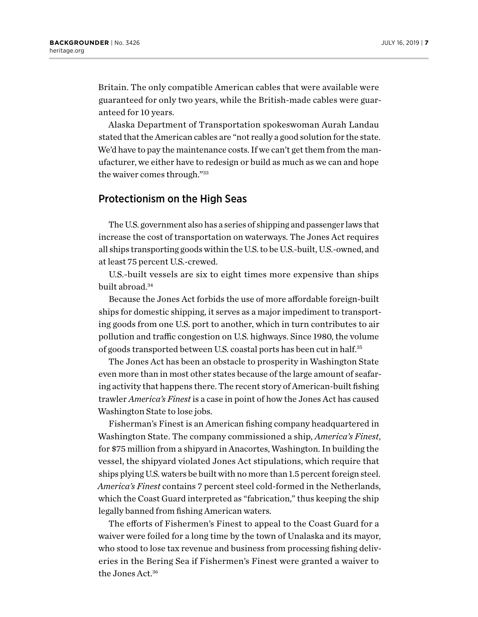Britain. The only compatible American cables that were available were guaranteed for only two years, while the British-made cables were guaranteed for 10 years.

Alaska Department of Transportation spokeswoman Aurah Landau stated that the American cables are "not really a good solution for the state. We'd have to pay the maintenance costs. If we can't get them from the manufacturer, we either have to redesign or build as much as we can and hope the waiver comes through."33

## Protectionism on the High Seas

The U.S. government also has a series of shipping and passenger laws that increase the cost of transportation on waterways. The Jones Act requires all ships transporting goods within the U.S. to be U.S.-built, U.S.-owned, and at least 75 percent U.S.-crewed.

U.S.-built vessels are six to eight times more expensive than ships built abroad.34

Because the Jones Act forbids the use of more affordable foreign-built ships for domestic shipping, it serves as a major impediment to transporting goods from one U.S. port to another, which in turn contributes to air pollution and traffic congestion on U.S. highways. Since 1980, the volume of goods transported between U.S. coastal ports has been cut in half.35

The Jones Act has been an obstacle to prosperity in Washington State even more than in most other states because of the large amount of seafaring activity that happens there. The recent story of American-built fishing trawler *America's Finest* is a case in point of how the Jones Act has caused Washington State to lose jobs.

Fisherman's Finest is an American fishing company headquartered in Washington State. The company commissioned a ship, *America's Finest*, for \$75 million from a shipyard in Anacortes, Washington. In building the vessel, the shipyard violated Jones Act stipulations, which require that ships plying U.S. waters be built with no more than 1.5 percent foreign steel. *America's Finest* contains 7 percent steel cold-formed in the Netherlands, which the Coast Guard interpreted as "fabrication," thus keeping the ship legally banned from fishing American waters.

The efforts of Fishermen's Finest to appeal to the Coast Guard for a waiver were foiled for a long time by the town of Unalaska and its mayor, who stood to lose tax revenue and business from processing fishing deliveries in the Bering Sea if Fishermen's Finest were granted a waiver to the Jones Act.36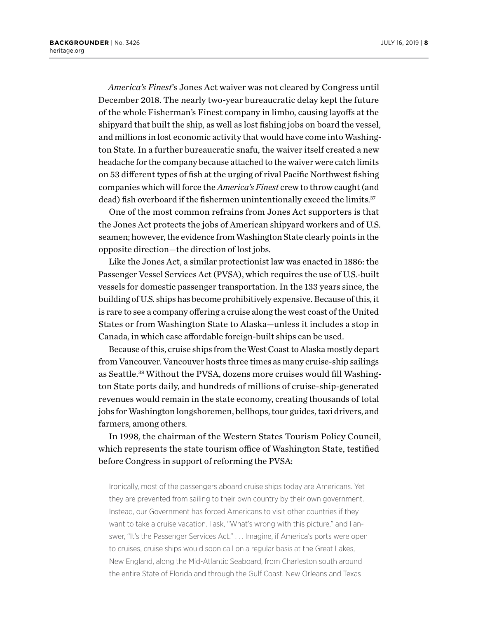*America's Finest*'s Jones Act waiver was not cleared by Congress until December 2018. The nearly two-year bureaucratic delay kept the future of the whole Fisherman's Finest company in limbo, causing layoffs at the shipyard that built the ship, as well as lost fishing jobs on board the vessel, and millions in lost economic activity that would have come into Washington State. In a further bureaucratic snafu, the waiver itself created a new headache for the company because attached to the waiver were catch limits on 53 different types of fish at the urging of rival Pacific Northwest fishing companies which will force the *America's Finest* crew to throw caught (and dead) fish overboard if the fishermen unintentionally exceed the limits.<sup>37</sup>

One of the most common refrains from Jones Act supporters is that the Jones Act protects the jobs of American shipyard workers and of U.S. seamen; however, the evidence from Washington State clearly points in the opposite direction—the direction of lost jobs.

Like the Jones Act, a similar protectionist law was enacted in 1886: the Passenger Vessel Services Act (PVSA), which requires the use of U.S.-built vessels for domestic passenger transportation. In the 133 years since, the building of U.S. ships has become prohibitively expensive. Because of this, it is rare to see a company offering a cruise along the west coast of the United States or from Washington State to Alaska—unless it includes a stop in Canada, in which case affordable foreign-built ships can be used.

Because of this, cruise ships from the West Coast to Alaska mostly depart from Vancouver. Vancouver hosts three times as many cruise-ship sailings as Seattle.<sup>38</sup> Without the PVSA, dozens more cruises would fill Washington State ports daily, and hundreds of millions of cruise-ship-generated revenues would remain in the state economy, creating thousands of total jobs for Washington longshoremen, bellhops, tour guides, taxi drivers, and farmers, among others.

In 1998, the chairman of the Western States Tourism Policy Council, which represents the state tourism office of Washington State, testified before Congress in support of reforming the PVSA:

Ironically, most of the passengers aboard cruise ships today are Americans. Yet they are prevented from sailing to their own country by their own government. Instead, our Government has forced Americans to visit other countries if they want to take a cruise vacation. I ask, "What's wrong with this picture," and I answer, "It's the Passenger Services Act." . . . Imagine, if America's ports were open to cruises, cruise ships would soon call on a regular basis at the Great Lakes, New England, along the Mid-Atlantic Seaboard, from Charleston south around the entire State of Florida and through the Gulf Coast. New Orleans and Texas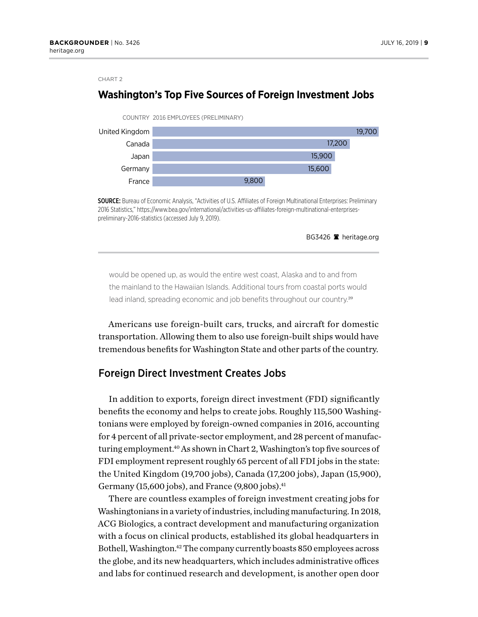## **Washington's Top Five Sources of Foreign Investment Jobs**



SOURCE: Bureau of Economic Analysis, "Activities of U.S. Affiliates of Foreign Multinational Enterprises: Preliminary 2016 Statistics," https://www.bea.gov/international/activities-us-affiliates-foreign-multinational-enterprisespreliminary-2016-statistics (accessed July 9, 2019).

BG3426 <sup>a</sup> heritage.org

would be opened up, as would the entire west coast, Alaska and to and from the mainland to the Hawaiian Islands. Additional tours from coastal ports would lead inland, spreading economic and job benefits throughout our country.<sup>39</sup>

Americans use foreign-built cars, trucks, and aircraft for domestic transportation. Allowing them to also use foreign-built ships would have tremendous benefits for Washington State and other parts of the country.

## Foreign Direct Investment Creates Jobs

In addition to exports, foreign direct investment (FDI) significantly benefits the economy and helps to create jobs. Roughly 115,500 Washingtonians were employed by foreign-owned companies in 2016, accounting for 4 percent of all private-sector employment, and 28 percent of manufacturing employment.40 As shown in Chart 2, Washington's top five sources of FDI employment represent roughly 65 percent of all FDI jobs in the state: the United Kingdom (19,700 jobs), Canada (17,200 jobs), Japan (15,900), Germany (15,600 jobs), and France  $(9,800)$  jobs).<sup>41</sup>

There are countless examples of foreign investment creating jobs for Washingtonians in a variety of industries, including manufacturing. In 2018, ACG Biologics, a contract development and manufacturing organization with a focus on clinical products, established its global headquarters in Bothell, Washington.42 The company currently boasts 850 employees across the globe, and its new headquarters, which includes administrative offices and labs for continued research and development, is another open door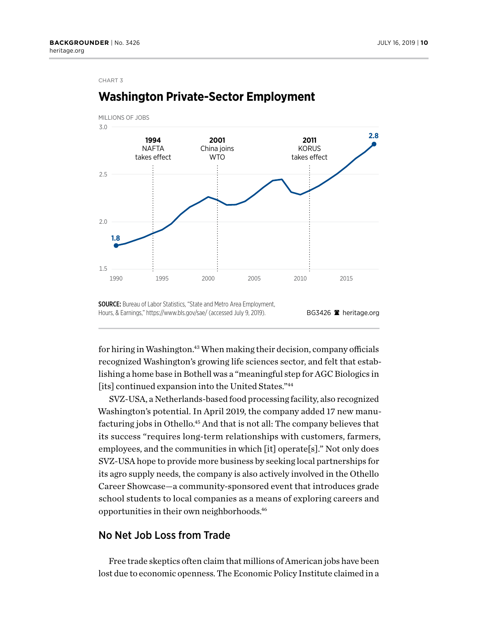

# **Washington Private-Sector Employment**

BG3426 <sup>a</sup> heritage.org SOURCE: Bureau of Labor Statistics, "State and Metro Area Employment, Hours, & Earnings," https://www.bls.gov/sae/ (accessed July 9, 2019).

for hiring in Washington.43 When making their decision, company officials recognized Washington's growing life sciences sector, and felt that establishing a home base in Bothell was a "meaningful step for AGC Biologics in [its] continued expansion into the United States."<sup>44</sup>

SVZ-USA, a Netherlands-based food processing facility, also recognized Washington's potential. In April 2019, the company added 17 new manufacturing jobs in Othello.<sup>45</sup> And that is not all: The company believes that its success "requires long-term relationships with customers, farmers, employees, and the communities in which [it] operate[s]." Not only does SVZ-USA hope to provide more business by seeking local partnerships for its agro supply needs, the company is also actively involved in the Othello Career Showcase—a community-sponsored event that introduces grade school students to local companies as a means of exploring careers and opportunities in their own neighborhoods.46

## No Net Job Loss from Trade

Free trade skeptics often claim that millions of American jobs have been lost due to economic openness. The Economic Policy Institute claimed in a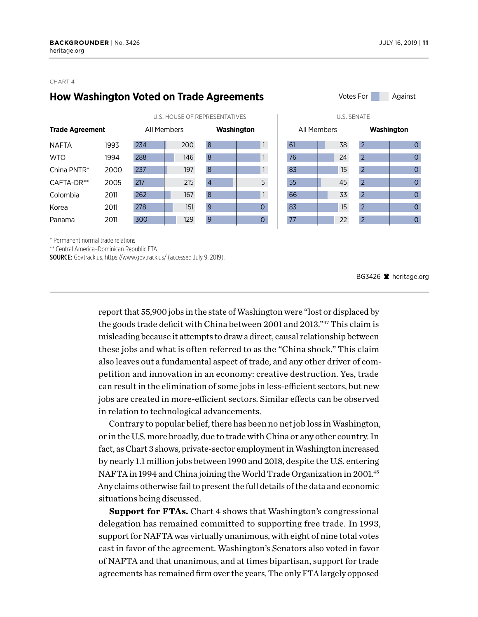## **How Washington Voted on Trade Agreements**

|                        |      | U.S. HOUSE OF REPRESENTATIVES |     |                  |                | <b>U.S. SENATE</b> |    |                |  |
|------------------------|------|-------------------------------|-----|------------------|----------------|--------------------|----|----------------|--|
| <b>Trade Agreement</b> |      | All Members                   |     | Washington       |                | All Members        |    | Washington     |  |
| <b>NAFTA</b>           | 1993 | 234                           | 200 | 8                |                | 61                 | 38 | $\overline{2}$ |  |
| <b>WTO</b>             | 1994 | 288                           | 146 | $\boldsymbol{8}$ | $\mathbf{1}$   | 76                 | 24 | $\overline{2}$ |  |
| China PNTR*            | 2000 | 237                           | 197 | $\mathbf{8}$     | $\mathbf{1}$   | 83                 | 15 | $\overline{2}$ |  |
| CAFTA-DR**             | 2005 | 217                           | 215 | $\overline{4}$   | 5              | 55                 | 45 | $\overline{2}$ |  |
| Colombia               | 2011 | 262                           | 167 | $\overline{8}$   | $\mathbf{1}$   | 66                 | 33 | $\overline{2}$ |  |
| Korea                  | 2011 | 278                           | 151 | 9                | $\overline{O}$ | 83                 | 15 | $\overline{2}$ |  |
| Panama                 | 2011 | 300                           | 129 | $\overline{9}$   | $\mathbf 0$    | 77                 | 22 | $\overline{2}$ |  |



| <b>U.S. SENATE</b> |             |                |                |  |  |  |  |  |  |
|--------------------|-------------|----------------|----------------|--|--|--|--|--|--|
|                    | All Members | Washington     |                |  |  |  |  |  |  |
| 61                 | 38          | $\overline{2}$ | 0              |  |  |  |  |  |  |
| 76                 | 24          | $\overline{2}$ | 0              |  |  |  |  |  |  |
| 83                 | 15          | $\overline{2}$ | $\overline{O}$ |  |  |  |  |  |  |
| 55                 | 45          | $\overline{2}$ | 0              |  |  |  |  |  |  |
| 66                 | 33          | $\overline{2}$ | 0              |  |  |  |  |  |  |
| 83                 | 15          | $\overline{2}$ | 0              |  |  |  |  |  |  |
| 77                 | 22          | $\overline{2}$ | o              |  |  |  |  |  |  |

\* Permanent normal trade relations

\*\* Central America–Dominican Republic FTA

SOURCE: Govtrack.us, https://www.govtrack.us/ (accessed July 9, 2019).

BG3426  $\blacksquare$  heritage.org

report that 55,900 jobs in the state of Washington were "lost or displaced by the goods trade deficit with China between 2001 and 2013."47 This claim is misleading because it attempts to draw a direct, causal relationship between these jobs and what is often referred to as the "China shock." This claim also leaves out a fundamental aspect of trade, and any other driver of competition and innovation in an economy: creative destruction. Yes, trade can result in the elimination of some jobs in less-efficient sectors, but new jobs are created in more-efficient sectors. Similar effects can be observed in relation to technological advancements.

Contrary to popular belief, there has been no net job loss in Washington, or in the U.S. more broadly, due to trade with China or any other country. In fact, as Chart 3 shows, private-sector employment in Washington increased by nearly 1.1 million jobs between 1990 and 2018, despite the U.S. entering NAFTA in 1994 and China joining the World Trade Organization in 2001.48 Any claims otherwise fail to present the full details of the data and economic situations being discussed.

**Support for FTAs.** Chart 4 shows that Washington's congressional delegation has remained committed to supporting free trade. In 1993, support for NAFTA was virtually unanimous, with eight of nine total votes cast in favor of the agreement. Washington's Senators also voted in favor of NAFTA and that unanimous, and at times bipartisan, support for trade agreements has remained firm over the years. The only FTA largely opposed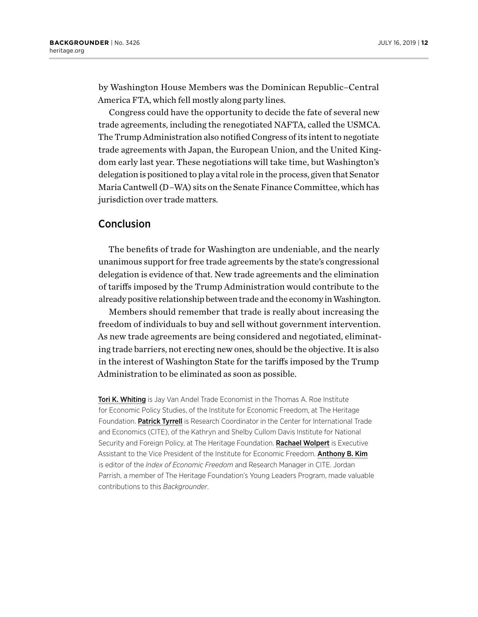by Washington House Members was the Dominican Republic–Central America FTA, which fell mostly along party lines.

Congress could have the opportunity to decide the fate of several new trade agreements, including the renegotiated NAFTA, called the USMCA. The Trump Administration also notified Congress of its intent to negotiate trade agreements with Japan, the European Union, and the United Kingdom early last year. These negotiations will take time, but Washington's delegation is positioned to play a vital role in the process, given that Senator Maria Cantwell (D–WA) sits on the Senate Finance Committee, which has jurisdiction over trade matters.

## Conclusion

The benefits of trade for Washington are undeniable, and the nearly unanimous support for free trade agreements by the state's congressional delegation is evidence of that. New trade agreements and the elimination of tariffs imposed by the Trump Administration would contribute to the already positive relationship between trade and the economy in Washington.

Members should remember that trade is really about increasing the freedom of individuals to buy and sell without government intervention. As new trade agreements are being considered and negotiated, eliminating trade barriers, not erecting new ones, should be the objective. It is also in the interest of Washington State for the tariffs imposed by the Trump Administration to be eliminated as soon as possible.

**Tori K. Whiting** is Jay Van Andel Trade Economist in the Thomas A. Roe Institute for Economic Policy Studies, of the Institute for Economic Freedom, at The Heritage Foundation. Patrick Tyrrell is Research Coordinator in the Center for International Trade and Economics (CITE), of the Kathryn and Shelby Cullom Davis Institute for National Security and Foreign Policy, at The Heritage Foundation. Rachael Wolpert is Executive Assistant to the Vice President of the Institute for Economic Freedom. Anthony B. Kim is editor of the *Index of Economic Freedom* and Research Manager in CITE. Jordan Parrish, a member of The Heritage Foundation's Young Leaders Program, made valuable contributions to this *Backgrounder*.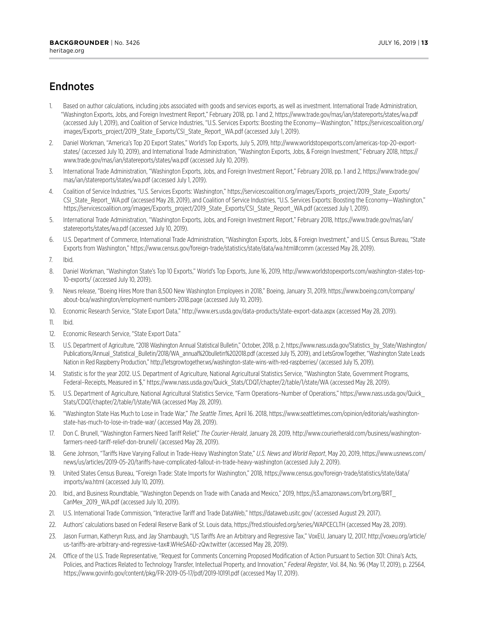## Endnotes

- 1. Based on author calculations, including jobs associated with goods and services exports, as well as investment. International Trade Administration, "Washington Exports, Jobs, and Foreign Investment Report," February 2018, pp. 1 and 2, <https://www.trade.gov/mas/ian/statereports/states/wa.pdf> (accessed July 1, 2019), and Coalition of Service Industries, "U.S. Services Exports: Boosting the Economy—Washington," [https://servicescoalition.org/](https://servicescoalition.org/images/Exports_project/2019_State_Exports/CSI_State_Report_WA.pdf) [images/Exports\\_project/2019\\_State\\_Exports/CSI\\_State\\_Report\\_WA.pdf](https://servicescoalition.org/images/Exports_project/2019_State_Exports/CSI_State_Report_WA.pdf) (accessed July 1, 2019).
- 2. Daniel Workman, "America's Top 20 Export States," World's Top Exports, July 5, 2019, [http://www.worldstopexports.com/americas-top-20-export](http://www.worldstopexports.com/americas-top-20-export-states/)[states/](http://www.worldstopexports.com/americas-top-20-export-states/) (accessed July 10, 2019), and International Trade Administration, "Washington Exports, Jobs, & Foreign Investment," February 2018, [https://](https://www.trade.gov/mas/ian/statereports/states/wa.pdf) [www.trade.gov/mas/ian/statereports/states/wa.pdf](https://www.trade.gov/mas/ian/statereports/states/wa.pdf) (accessed July 10, 2019).
- 3. International Trade Administration, "Washington Exports, Jobs, and Foreign Investment Report," February 2018, pp. 1 and 2, [https://www.trade.gov/](https://www.trade.gov/mas/ian/statereports/states/wa.pdf) [mas/ian/statereports/states/wa.pdf](https://www.trade.gov/mas/ian/statereports/states/wa.pdf) (accessed July 1, 2019).
- 4. Coalition of Service Industries, "U.S. Services Exports: Washington," [https://servicescoalition.org/images/Exports\\_project/2019\\_State\\_Exports/](https://servicescoalition.org/images/Exports_project/2019_State_Exports/CSI_State_Report_WA.pdf) [CSI\\_State\\_Report\\_WA.pdf](https://servicescoalition.org/images/Exports_project/2019_State_Exports/CSI_State_Report_WA.pdf) (accessed May 28, 2019), and Coalition of Service Industries, "U.S. Services Exports: Boosting the Economy—Washington," [https://servicescoalition.org/images/Exports\\_project/2019\\_State\\_Exports/CSI\\_State\\_Report\\_WA.pdf](https://servicescoalition.org/images/Exports_project/2019_State_Exports/CSI_State_Report_WA.pdf) (accessed July 1, 2019).
- 5. International Trade Administration, "Washington Exports, Jobs, and Foreign Investment Report," February 2018, [https://www.trade.gov/mas/ian/](https://www.trade.gov/mas/ian/statereports/states/wa.pdf) [statereports/states/wa.pdf](https://www.trade.gov/mas/ian/statereports/states/wa.pdf) (accessed July 10, 2019).
- 6. U.S. Department of Commerce, International Trade Administration, "Washington Exports, Jobs, & Foreign Investment," and U.S. Census Bureau, "State Exports from Washington," https://www.census.gov/foreign-trade/statistics/state/data/wa.html#comm (accessed May 28, 2019).

7. Ibid.

- 8. Daniel Workman, "Washington State's Top 10 Exports," World's Top Exports, June 16, 2019, [http://www.worldstopexports.com/washington-states-top-](http://www.worldstopexports.com/washington-states-top-10-exports/)[10-exports/](http://www.worldstopexports.com/washington-states-top-10-exports/) (accessed July 10, 2019).
- 9. News release, "Boeing Hires More than 8,500 New Washington Employees in 2018," Boeing, January 31, 2019, [https://www.boeing.com/company/](https://www.boeing.com/company/about-bca/washington/employment-numbers-2018.page) [about-bca/washington/employment-numbers-2018.page](https://www.boeing.com/company/about-bca/washington/employment-numbers-2018.page) (accessed July 10, 2019).
- 10. Economic Research Service, "State Export Data,"<http://www.ers.usda.gov/data-products/state-export-data.aspx>(accessed May 28, 2019).

11. Ibid.

- 12. Economic Research Service, "State Export Data."
- 13. U.S. Department of Agriculture, "2018 Washington Annual Statistical Bulletin," October, 2018, p. 2, [https://www.nass.usda.gov/Statistics\\_by\\_State/Washington/](https://www.nass.usda.gov/Statistics_by_State/Washington/Publications/Annual_Statistical_Bulletin/2018/WA_annual%20bulletin%202018.pdf) [Publications/Annual\\_Statistical\\_Bulletin/2018/WA\\_annual%20bulletin%202018.pdf](https://www.nass.usda.gov/Statistics_by_State/Washington/Publications/Annual_Statistical_Bulletin/2018/WA_annual%20bulletin%202018.pdf) (accessed July 15, 2019), and LetsGrowTogether, "Washington State Leads Nation in Red Raspberry Production," <http://letsgrowtogether.ws/washington-state-wins-with-red-raspberries/> (accessed July 15, 2019).
- 14. Statistic is for the year 2012. U.S. Department of Agriculture, National Agricultural Statistics Service, "Washington State, Government Programs, Federal–Receipts, Measured in \$," [https://www.nass.usda.gov/Quick\\_Stats/CDQT/chapter/2/table/1/state/WA](https://www.nass.usda.gov/Quick_Stats/CDQT/chapter/2/table/1/state/WA) (accessed May 28, 2019).
- 15. U.S. Department of Agriculture, National Agricultural Statistics Service, "Farm Operations–Number of Operations," [https://www.nass.usda.gov/Quick\\_](https://www.nass.usda.gov/Quick_Stats/CDQT/chapter/2/table/1/state/WA%20) [Stats/CDQT/chapter/2/table/1/state/WA](https://www.nass.usda.gov/Quick_Stats/CDQT/chapter/2/table/1/state/WA%20) (accessed May 28, 2019).
- 16. "Washington State Has Much to Lose in Trade War," *The Seattle Times*, April 16. 2018, [https://www.seattletimes.com/opinion/editorials/washington](https://www.seattletimes.com/opinion/editorials/washington-state-has-much-to-lose-in-trade-war/)[state-has-much-to-lose-in-trade-war/](https://www.seattletimes.com/opinion/editorials/washington-state-has-much-to-lose-in-trade-war/) (accessed May 28, 2019).
- 17. Don C. Brunell, "Washington Farmers Need Tariff Relief," *The Courier-Herald*, January 28, 2019, [http://www.courierherald.com/business/washington](http://www.courierherald.com/business/washington-farmers-need-tariff-relief-don-brunell/)[farmers-need-tariff-relief-don-brunell/](http://www.courierherald.com/business/washington-farmers-need-tariff-relief-don-brunell/) (accessed May 28, 2019).
- 18. Gene Johnson, "Tariffs Have Varying Fallout in Trade-Heavy Washington State," *U.S. News and World Report*, May 20, 2019, [https://www.usnews.com/](https://www.usnews.com/news/us/articles/2019-05-20/tariffs-have-complicated-fallout-in-trade-heavy-washington) [news/us/articles/2019-05-20/tariffs-have-complicated-fallout-in-trade-heavy-washington](https://www.usnews.com/news/us/articles/2019-05-20/tariffs-have-complicated-fallout-in-trade-heavy-washington) (accessed July 2, 2019).
- 19. United States Census Bureau, "Foreign Trade: State Imports for Washington," 2018, [https://www.census.gov/foreign-trade/statistics/state/data/](https://www.census.gov/foreign-trade/statistics/state/data/imports/wa.html) [imports/wa.html](https://www.census.gov/foreign-trade/statistics/state/data/imports/wa.html) (accessed July 10, 2019).
- 20. Ibid., and Business Roundtable, "Washington Depends on Trade with Canada and Mexico," 2019, [https://s3.amazonaws.com/brt.org/BRT\\_](https://s3.amazonaws.com/brt.org/BRT_CanMex_2019_WA.pdf) CanMex 2019 WA.pdf (accessed July 10, 2019).
- 21. U.S. International Trade Commission, "Interactive Tariff and Trade DataWeb,"<https://dataweb.usitc.gov/>(accessed August 29, 2017).
- 22. Authors' calculations based on Federal Reserve Bank of St. Louis data,<https://fred.stlouisfed.org/series/WAPCECLTH> (accessed May 28, 2019).
- 23. Jason Furman, Katheryn Russ, and Jay Shambaugh, "US Tariffs Are an Arbitrary and Regressive Tax," VoxEU, January 12, 2017, http://voxeu.org/article/ us-tariffs-are-arbitrary-and-regressive-tax#.WHeSA6D-zQw.twitter (accessed May 28, 2019).
- 24. Office of the U.S. Trade Representative, "Request for Comments Concerning Proposed Modification of Action Pursuant to Section 301: China's Acts, Policies, and Practices Related to Technology Transfer, Intellectual Property, and Innovation," *Federal Register*, Vol. 84, No. 96 (May 17, 2019), p. 22564, [https://www.govinfo.gov/content/pkg/FR-2019-05-17/pdf/2019-10191.pdf](https://www.govinfo.gov/content/pkg/FR-2019-05-17/pdf/2019-10191.pdf%20) (accessed May 17, 2019).